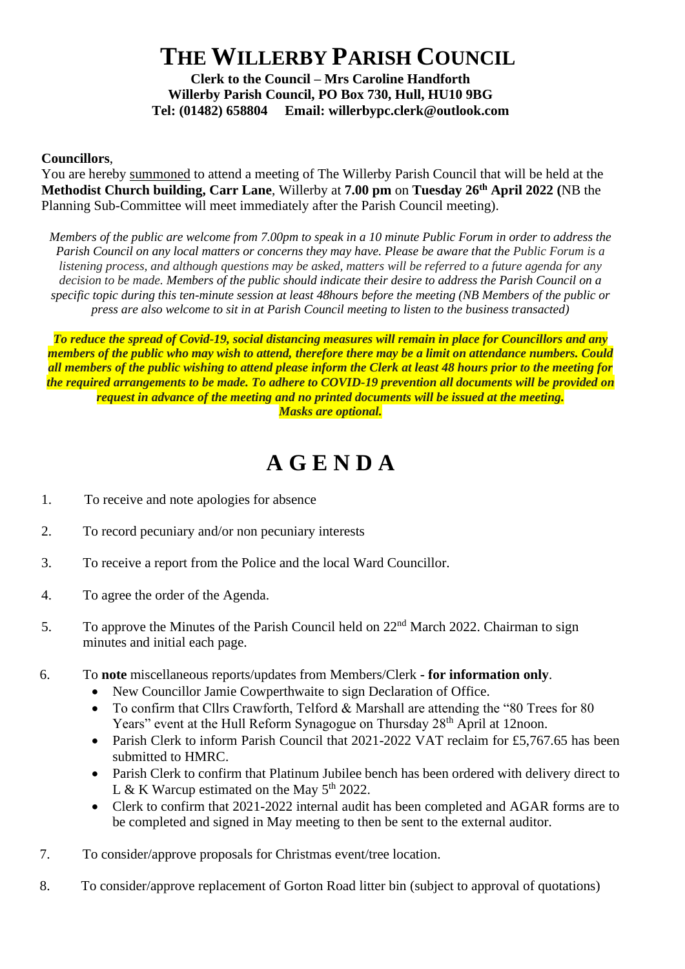## **THE WILLERBY PARISH COUNCIL**

**Clerk to the Council – Mrs Caroline Handforth Willerby Parish Council, PO Box 730, Hull, HU10 9BG Tel: (01482) 658804 Email: willerbypc.clerk@outlook.com**

## **Councillors**,

You are hereby summoned to attend a meeting of The Willerby Parish Council that will be held at the **Methodist Church building, Carr Lane**, Willerby at **7.00 pm** on **Tuesday 26 th April 2022 (**NB the Planning Sub-Committee will meet immediately after the Parish Council meeting).

*Members of the public are welcome from 7.00pm to speak in a 10 minute Public Forum in order to address the Parish Council on any local matters or concerns they may have. Please be aware that the Public Forum is a listening process, and although questions may be asked, matters will be referred to a future agenda for any decision to be made. Members of the public should indicate their desire to address the Parish Council on a specific topic during this ten-minute session at least 48hours before the meeting (NB Members of the public or press are also welcome to sit in at Parish Council meeting to listen to the business transacted)* 

*To reduce the spread of Covid-19, social distancing measures will remain in place for Councillors and any members of the public who may wish to attend, therefore there may be a limit on attendance numbers. Could all members of the public wishing to attend please inform the Clerk at least 48 hours prior to the meeting for the required arrangements to be made. To adhere to COVID-19 prevention all documents will be provided on request in advance of the meeting and no printed documents will be issued at the meeting. Masks are optional.*

## **A G E N D A**

- 1. To receive and note apologies for absence
- 2. To record pecuniary and/or non pecuniary interests
- 3. To receive a report from the Police and the local Ward Councillor.
- 4. To agree the order of the Agenda.
- 5. To approve the Minutes of the Parish Council held on 22<sup>nd</sup> March 2022. Chairman to sign minutes and initial each page.
- 6. To **note** miscellaneous reports/updates from Members/Clerk **- for information only**.
	- New Councillor Jamie Cowperthwaite to sign Declaration of Office.
	- To confirm that Cllrs Crawforth, Telford & Marshall are attending the "80 Trees for 80 Years" event at the Hull Reform Synagogue on Thursday 28<sup>th</sup> April at 12noon.
	- Parish Clerk to inform Parish Council that 2021-2022 VAT reclaim for £5,767.65 has been submitted to HMRC.
	- Parish Clerk to confirm that Platinum Jubilee bench has been ordered with delivery direct to L & K Warcup estimated on the May  $5<sup>th</sup> 2022$ .
	- Clerk to confirm that 2021-2022 internal audit has been completed and AGAR forms are to be completed and signed in May meeting to then be sent to the external auditor.
- 7. To consider/approve proposals for Christmas event/tree location.
- 8. To consider/approve replacement of Gorton Road litter bin (subject to approval of quotations)